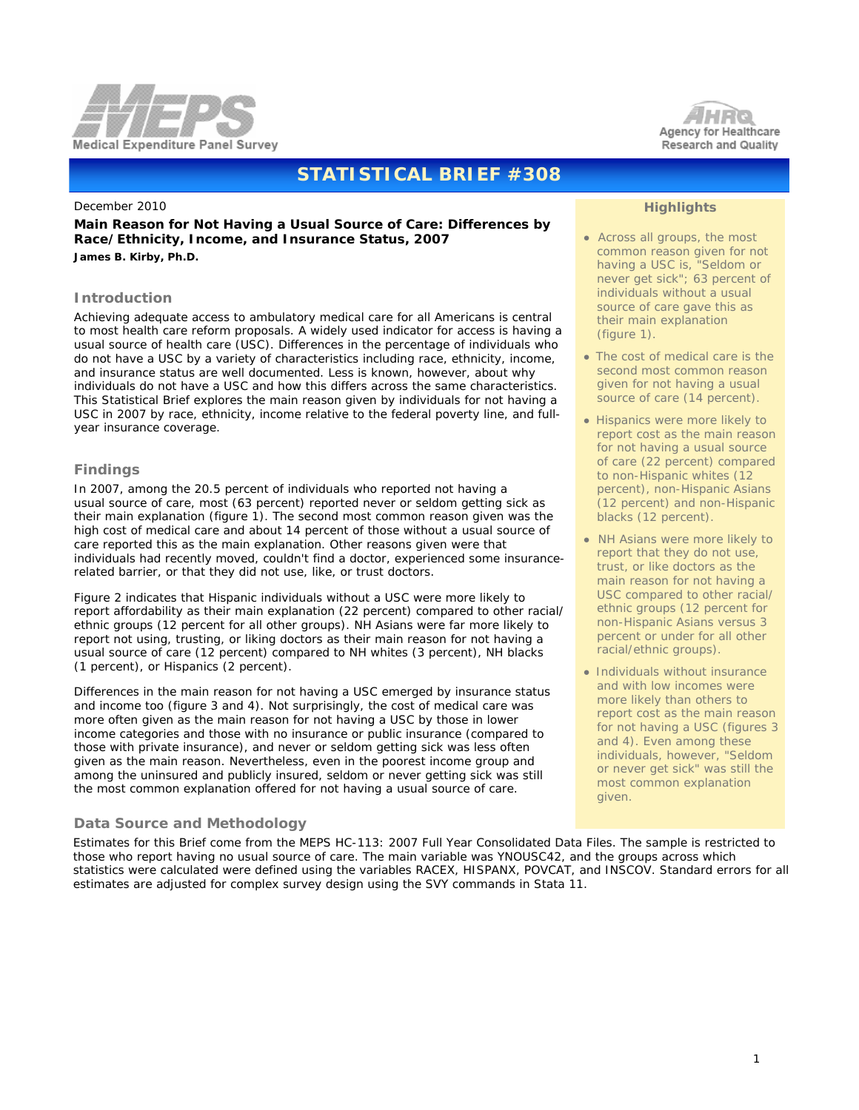



# **STATISTICAL BRIEF #308**

#### December 2010

**Main Reason for Not Having a Usual Source of Care: Differences by Race/Ethnicity, Income, and Insurance Status, 2007** *James B. Kirby, Ph.D.*

#### **Introduction**

Achieving adequate access to ambulatory medical care for all Americans is central to most health care reform proposals. A widely used indicator for access is having a usual source of health care (USC). Differences in the percentage of individuals who do not have a USC by a variety of characteristics including race, ethnicity, income, and insurance status are well documented. Less is known, however, about why individuals do not have a USC and how this differs across the same characteristics. This Statistical Brief explores the main reason given by individuals for not having a USC in 2007 by race, ethnicity, income relative to the federal poverty line, and fullyear insurance coverage.

# **Findings**

In 2007, among the 20.5 percent of individuals who reported not having a usual source of care, most (63 percent) reported never or seldom getting sick as their main explanation (figure 1). The second most common reason given was the high cost of medical care and about 14 percent of those without a usual source of care reported this as the main explanation. Other reasons given were that individuals had recently moved, couldn't find a doctor, experienced some insurancerelated barrier, or that they did not use, like, or trust doctors.

Figure 2 indicates that Hispanic individuals without a USC were more likely to report affordability as their main explanation (22 percent) compared to other racial/ ethnic groups (12 percent for all other groups). NH Asians were far more likely to report not using, trusting, or liking doctors as their main reason for not having a usual source of care (12 percent) compared to NH whites (3 percent), NH blacks (1 percent), or Hispanics (2 percent).

Differences in the main reason for not having a USC emerged by insurance status and income too (figure 3 and 4). Not surprisingly, the cost of medical care was more often given as the main reason for not having a USC by those in lower income categories and those with no insurance or public insurance (compared to those with private insurance), and never or seldom getting sick was less often given as the main reason. Nevertheless, even in the poorest income group and among the uninsured and publicly insured, seldom or never getting sick was still the most common explanation offered for not having a usual source of care.

# **Data Source and Methodology**

 Estimates for this Brief come from the MEPS HC-113: 2007 Full Year Consolidated Data Files. The sample is restricted to those who report having no usual source of care. The main variable was YNOUSC42, and the groups across which statistics were calculated were defined using the variables RACEX, HISPANX, POVCAT, and INSCOV. Standard errors for all estimates are adjusted for complex survey design using the SVY commands in Stata 11.

# **Highlights**

- Across all groups, the most common reason given for not having a USC is, "Seldom or never get sick"; 63 percent of individuals without a usual source of care gave this as their main explanation (figure 1).
- The cost of medical care is the second most common reason given for not having a usual source of care (14 percent).
- Hispanics were more likely to report cost as the main reason for not having a usual source of care (22 percent) compared to non-Hispanic whites (12 percent), non-Hispanic Asians (12 percent) and non-Hispanic blacks (12 percent).
- NH Asians were more likely to report that they do not use, trust, or like doctors as the main reason for not having a USC compared to other racial/ ethnic groups (12 percent for non-Hispanic Asians versus 3 percent or under for all other racial/ethnic groups).
- Individuals without insurance and with low incomes were more likely than others to report cost as the main reason for not having a USC (figures 3 and 4). Even among these individuals, however, "Seldom or never get sick" was still the most common explanation given.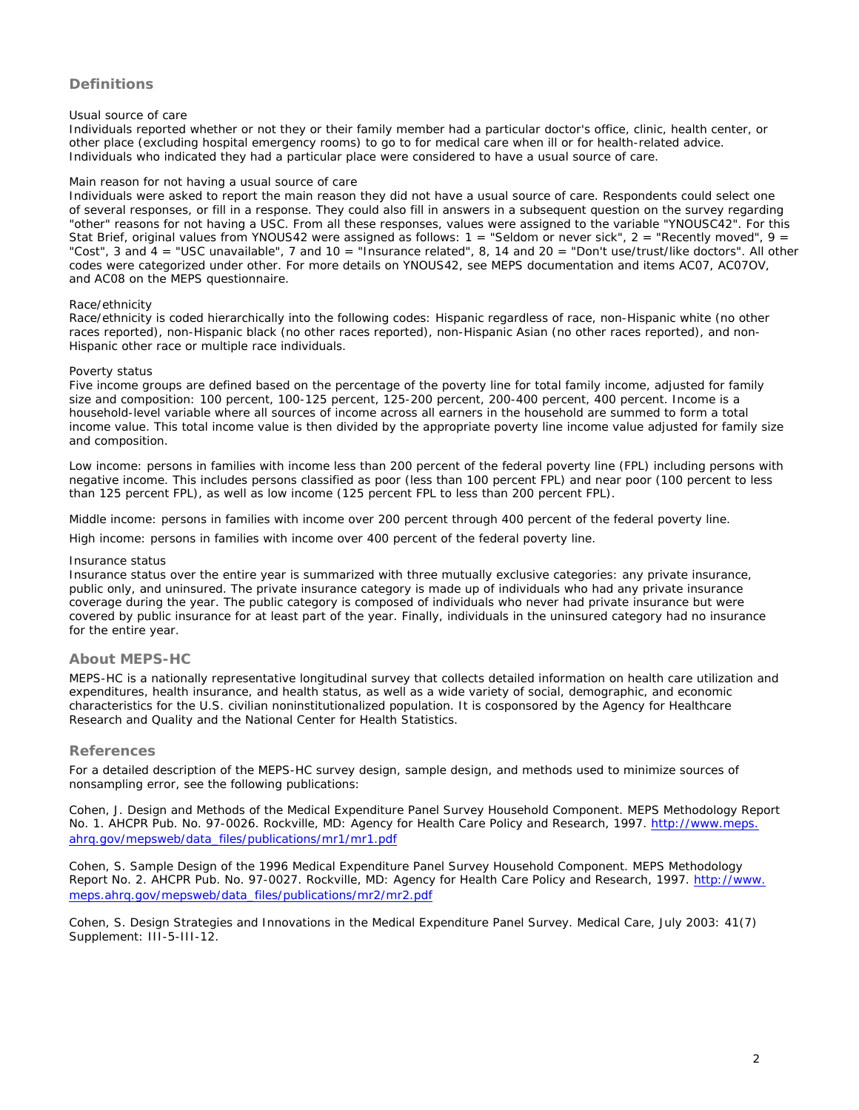# **Definitions**

# *Usual source of care*

Individuals reported whether or not they or their family member had a particular doctor's office, clinic, health center, or other place (excluding hospital emergency rooms) to go to for medical care when ill or for health-related advice. Individuals who indicated they had a particular place were considered to have a usual source of care.

#### *Main reason for not having a usual source of care*

Individuals were asked to report the main reason they did not have a usual source of care. Respondents could select one of several responses, or fill in a response. They could also fill in answers in a subsequent question on the survey regarding "other" reasons for not having a USC. From all these responses, values were assigned to the variable "YNOUSC42". For this Stat Brief, original values from YNOUS42 were assigned as follows: 1 = "Seldom or never sick", 2 = "Recently moved", 9 = "Cost", 3 and  $4 =$  "USC unavailable", 7 and 10 = "Insurance related", 8, 14 and 20 = "Don't use/trust/like doctors". All other codes were categorized under *other.* For more details on YNOUS42, see MEPS documentation and items AC07, AC07OV, and AC08 on the MEPS questionnaire.

#### *Race/ethnicity*

Race/ethnicity is coded hierarchically into the following codes: Hispanic regardless of race, non-Hispanic white (no other races reported), non-Hispanic black (no other races reported), non-Hispanic Asian (no other races reported), and non-Hispanic other race or multiple race individuals.

#### *Poverty status*

Five income groups are defined based on the percentage of the poverty line for total family income, adjusted for family size and composition: 100 percent, 100-125 percent, 125-200 percent, 200-400 percent, 400 percent. Income is a household-level variable where all sources of income across all earners in the household are summed to form a total income value. This total income value is then divided by the appropriate poverty line income value adjusted for family size and composition.

*Low income:* persons in families with income less than 200 percent of the federal poverty line (FPL) including persons with negative income. This includes persons classified as poor (less than 100 percent FPL) and near poor (100 percent to less than 125 percent FPL), as well as low income (125 percent FPL to less than 200 percent FPL).

*Middle income:* persons in families with income over 200 percent through 400 percent of the federal poverty line.

*High income:* persons in families with income over 400 percent of the federal poverty line.

## *Insurance status*

Insurance status over the entire year is summarized with three mutually exclusive categories: any private insurance, public only, and uninsured. The private insurance category is made up of individuals who had any private insurance coverage during the year. The public category is composed of individuals who never had private insurance but were covered by public insurance for at least part of the year. Finally, individuals in the uninsured category had no insurance for the entire year.

# **About MEPS-HC**

MEPS-HC is a nationally representative longitudinal survey that collects detailed information on health care utilization and expenditures, health insurance, and health status, as well as a wide variety of social, demographic, and economic characteristics for the U.S. civilian noninstitutionalized population. It is cosponsored by the Agency for Healthcare Research and Quality and the National Center for Health Statistics.

# **References**

For a detailed description of the MEPS-HC survey design, sample design, and methods used to minimize sources of nonsampling error, see the following publications:

Cohen, J. *Design and Methods of the Medical Expenditure Panel Survey Household Component*. MEPS Methodology Report No. 1. AHCPR Pub. No. 97-0026. Rockville, MD: Agency for Health Care Policy and Research, 1997. [http://www.meps.](http://www.meps.ahrq.gov/mepsweb/data_files/publications/mr1/mr1.pdf) [ahrq.gov/mepsweb/data\\_files/publications/mr1/mr1.pdf](http://www.meps.ahrq.gov/mepsweb/data_files/publications/mr1/mr1.pdf)

Cohen, S. *Sample Design of the 1996 Medical Expenditure Panel Survey Household Component*. MEPS Methodology Report No. 2. AHCPR Pub. No. 97-0027. Rockville, MD: Agency for Health Care Policy and Research, 1997. [http://www.](http://www.meps.ahrq.gov/mepsweb/data_files/publications/mr2/mr2.pdf) [meps.ahrq.gov/mepsweb/data\\_files/publications/mr2/mr2.pdf](http://www.meps.ahrq.gov/mepsweb/data_files/publications/mr2/mr2.pdf)

Cohen, S. Design Strategies and Innovations in the Medical Expenditure Panel Survey. *Medical Care*, July 2003: 41(7) Supplement: III-5-III-12.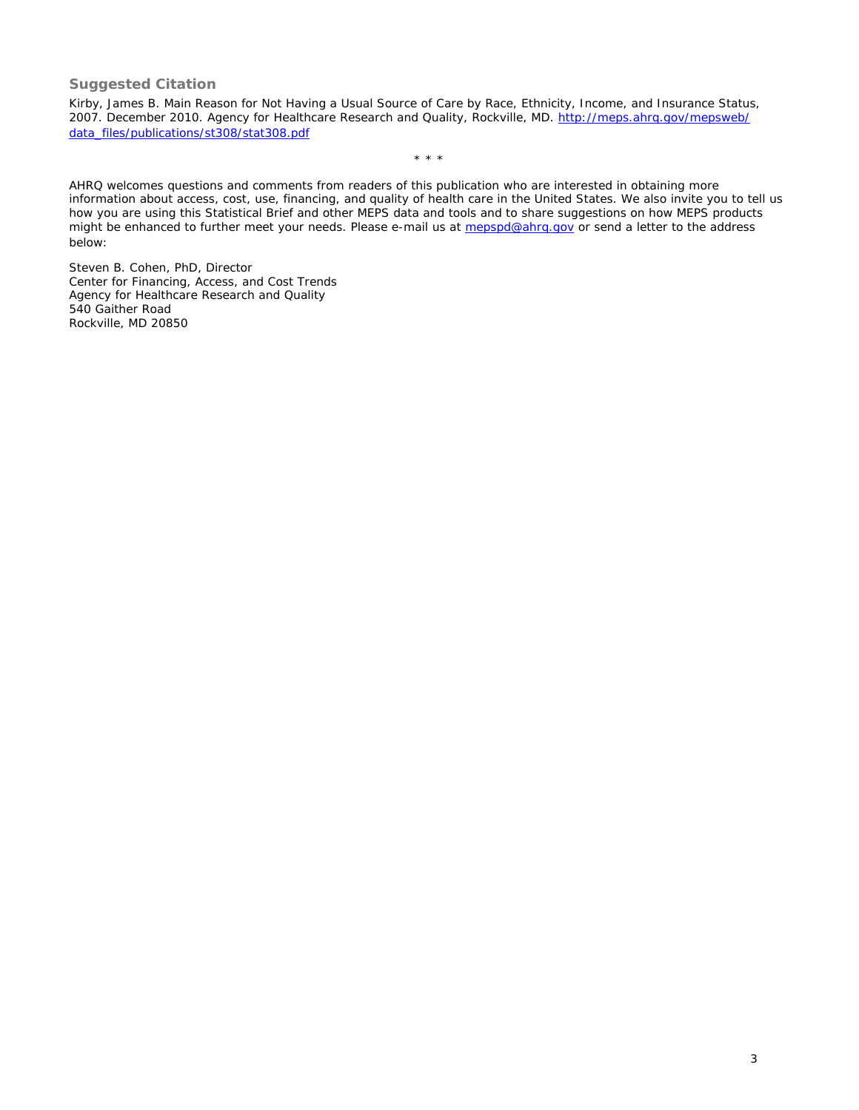# **Suggested Citation**

Kirby, James B. *Main Reason for Not Having a Usual Source of Care by Race, Ethnicity, Income, and Insurance Status, 2007*. December 2010. Agency for Healthcare Research and Quality, Rockville, MD. [http://meps.ahrq.gov/mepsweb/](http://meps.ahrq.gov/mepsweb/data_files/publications/st308/stat308.pdf) [data\\_files/publications/st308/stat308.pdf](http://meps.ahrq.gov/mepsweb/data_files/publications/st308/stat308.pdf)

\* \* \*

AHRQ welcomes questions and comments from readers of this publication who are interested in obtaining more information about access, cost, use, financing, and quality of health care in the United States. We also invite you to tell us how you are using this Statistical Brief and other MEPS data and tools and to share suggestions on how MEPS products might be enhanced to further meet your needs. Please e-mail us at [mepspd@ahrq.gov](file:////SSTHOST50/Projects/Ahrq3Web/MEPSPUBS/gen_sb/data_files/publications/sb308/mepspd@ahrq.gov) or send a letter to the address below:

Steven B. Cohen, PhD, Director Center for Financing, Access, and Cost Trends Agency for Healthcare Research and Quality 540 Gaither Road Rockville, MD 20850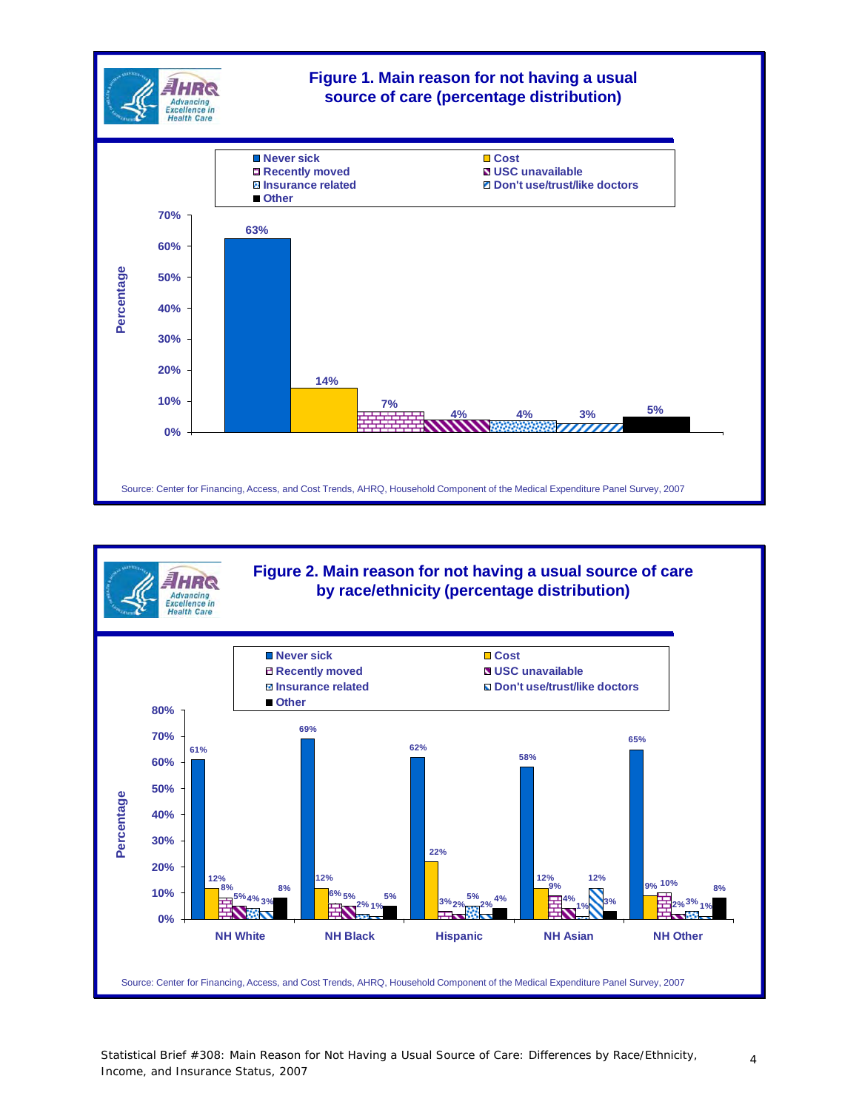



Statistical Brief #308: Main Reason for Not Having a Usual Source of Care: Differences by Race/Ethnicity, Income, and Insurance Status, 2007